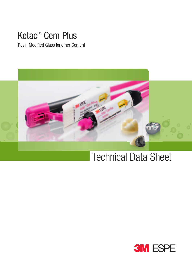## Ketac™ Cem Plus

Resin Modified Glass Ionomer Cement



## Technical Data Sheet

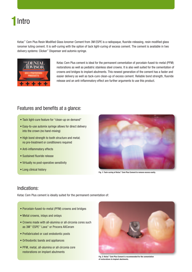## 1 Intro

Ketac™ Cem Plus Resin Modified Glass Ionomer Cement from 3M ESPE is a radiopaque, fluoride-releasing, resin modified glass ionomer luting cement. It is self-curing with the option of tack light-curing of excess cement. The cement is available in two delivery systems: Clicker™ Dispenser and automix syringe.



Ketac Cem Plus cement is ideal for the permanent cementation of porcelain-fused-to-metal (PFM) restorations as well as pediatric stainless steel crowns. It is also well suited for the cementation of crowns and bridges to implant abutments. This newest generation of the cement has a faster and easier delivery as well as tack-cure clean-up of excess cement. Reliable bond strength, fluoride release and an anti-inflammatory effect are further arguments to use this product.

## Features and benefits at a glance:

- Tack light-cure feature for "clean-up on demand"
- Easy-to-use automix syringe allows for direct delivery into the crown (no hand-mixing)
- High bond strength to tooth structure and metal; no pre-treatment or conditioners required
- Anti-inflammatory effects
- Sustained fluoride release
- Virtually no post-operative sensitivity
- Long clinical history



Fig. 1: Tack-curing of Ketac™ Cem Plus Cement to remove excess easily.

### Indications:

Ketac Cem Plus cement is ideally suited for the permanent cementation of:

- Porcelain-fused-to-metal (PFM) crowns and bridges
- Metal crowns, inlays and onlays
- Crowns made with all-alumina or all-zirconia cores such as 3M™ ESPE™ Lava™ or Procera AllCeram
- Prefabricated or cast endodontic posts
- Orthodontic bands and appliances
- PFM, metal, all-alumina or all-zirconia core restorations on implant abutments



Fig. 2: Ketac™ Cem Plus Cement is recommended for the cementation of restorations to implant abutments.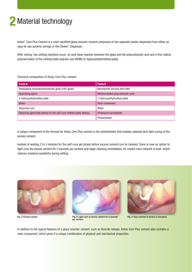## 2 Material technology

Ketac™ Cem Plus Cement is a resin modified glass ionomer cement composed of two separate pastes dispensed from either an easy-to-use automix syringe or the Clicker™ Dispenser.

After mixing, two setting reactions occur: an acid-base reaction between the glass and the polycarboxylic acid and a free radical polymerization of the methacrylate polymer and HEMA (2-hydroxyethylmethacrylate).

Chemical composition of Ketac Cem Plus cement:

| Paste A                                                           | Paste B                            |
|-------------------------------------------------------------------|------------------------------------|
| Radiopaque fluoroaluminosilicate glass (FAS glass)                | Nonreactive zirconia silica filler |
| Opacifying agent                                                  | Methacrylated polycarboxylic acid  |
| 2-Hydroxyethylmethacrylate                                        | 2-Hydroxyethylmethacrylate         |
| Water                                                             | <b>Resin monomers</b>              |
| Dispersion aid                                                    | Water                              |
| Reducing agent that allows for the self-cure methacrylate setting | Potassium persulphate              |
|                                                                   | Photoinitiator                     |

A unique component of the formula for Ketac Cem Plus cement is the photoinitiator that enables optional tack light-curing of the excess cement.

Instead of waiting 2 to 3 minutes for the self-cure gel phase before excess cement can be cleaned, there is now an option to light-cure the excess cement for 5 seconds per surface and begin cleaning immediately. An instant resin network is built, which reduces moisture sensitivity during setting.





Fig. 3: Excess cement. Fig. 4: Light-cure of excess cement for 5 seconds per surface.



Fig. 5: Easy removal of excess in one piece.

In addition to the typical features of a glass ionomer cement, such as fluoride release, Ketac Cem Plus cement also contains a resin component, which gives it a unique combination of physical and mechanical properties.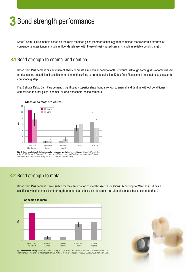# 3 Bond strength performance

Ketac™ Cem Plus Cement is based on the resin modified glass ionomer technology that combines the favourable features of conventional glass ionomer, such as fluoride release, with those of resin-based cements, such as reliable bond strength.

## **3.1** Bond strength to enamel and dentine

Ketac Cem Plus cement has an inherent ability to create a molecular bond to tooth structure. Although some glass-ionomer-based products need an additional conditioner on the tooth surface to promote adhesion, Ketac Cem Plus cement does not need a separate conditioning step.

Fig. 6 shows Ketac Cem Plus cement's significantly superior shear bond strength to enamel and dentine without conditioner in comparison to other glass-ionomer- or zinc-phosphate-based cements.



Fig. 6: Shear bond strength to tooth structure, cements used without conditioner. Source: Y. Wang, T. Ton, A. Falsafi, J.D. Oxman, E. Popp, and T. Tran: Adhesion of Glass-Ionomer and Zinc Phosphate Cements to Different Substrates, J Dent Res 92 (Spec Iss A): 2379, 2013 (www.dentalresearch.org).

## 3.2 Bond strength to metal

Ketac Cem Plus cement is well suited for the cementation of metal-based restorations. According to Wang et al., it has a significantly higher shear bond strength to metal than other glass-ionomer- and zinc phosphate-based cements (Fig. 7).



**Fig. 7: Shear bond strength to metal.** Source: Y. Wang, T. Ton, A. Falsafi, J.D. Oxman, E. Popp, and T. Tran: Adhesion of Glass-<br>Ionomer and Zinc Phosphate Cements to Different Substrates, J Dent Res 92 (Spec Iss A): 2379

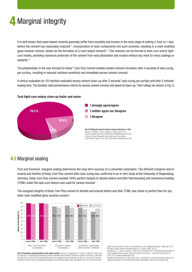# 4 Marginal integrity

It is well known that water-based cements generally suffer from solubility and erosion in the early stage of setting (1 hour to 1 day) before the cement has reasonably matured<sup>1,2</sup>. Incorporation of resin components into such cements, resulting in a resin modified glass ionomer cement, allows for the formation of a resin-based network<sup>1,3</sup>. This network can be formed in dark-cure and/or lightcure modes, providing maximum protection of the cement from early dissolution and erosion without any need for extra coatings or sealants.<sup>1,2</sup>

The photoinitiator in the new formula for Ketac™ Cem Plus Cement enables instant network formation after 5 seconds of tack-curing per surface, resulting in reduced moisture sensitivity and immediate excess cement removal.

A clinical evaluation by 135 dentists evaluated excess cement clean-up after 5 seconds' tack-curing per surface and after 2 minutes' waiting time. The dentists rated performance criteria for excess cement removal and speed of clean-up. Their ratings are shown in Fig. 8.



#### Tack light-cure makes clean-up faster and easier

3.8 %



## 4.1 Marginal sealing

First and foremost, marginal sealing determines the long-term success of a cemented restoration. The efficient marginal seal to enamel and dentine of Ketac Cem Plus cement after tack-curing was confirmed in an in vitro study at the University of Regensburg, Germany. Ketac Cem Plus cement revealed 100% perfect margins to dentine before and after thermocycling and mechanical loading (TCML) when the tack-cure feature was used for excess removal.3

The marginal integrity of Ketac Cem Plus cement to dentine and enamel before and after TCML was closer to perfect than for any other resin modified glass ionomer cement.<sup>4</sup>



Fig. 9: Schematic representation of the study results. Sources: A. Sawaljanow, R. Lang, G. Handel, M. Behr, and M. Rosentritt. In-Vitro Marginal Adaptation of Resin-Modified Glass Ionomer Cements to Dentin and Enamel. J Dent Res 92 (Spec Iss A): 2345, 2013 (www.dentalresearch.org); adapted from M. Rosentritt, M. Behr, R. Lang, and G. Handel. Influence of Cement Type on the Marginal Adaptation of All-Ceramic MOD Inlays. Dent Mater. 2004 Jun; 20 (5):463-469.

1 Glass-Ionomer Cement, Wilson, A.D. and McLean, J.W.; Quintessence Books, 1988, pp. 51-52 2 An Atlas of Glass-Ionomer Cements, Mount, G.J.; Dunitz, 2002, pp. 5-7.

3 Sawaljanow, A., Lang, R., Handel, G., Behr, M., and Rosentritt, M. In-Vitro Marginal Adaptation of Resin-Modified Glass Ionomer Cements to Dentin and Enamel, l. J Dent Res 92 (Spec Iss A):

2345, 2013 (www.dentalresearch.org). Adapted from Rosentritt, M., Behr, M., Lang, R., and Handel, G. Influence of Cement Type on the Marginal Adaptation of All-Ceramic MOD Inlays. Dent Mater. 2004 Jun; 20 (5):463-469.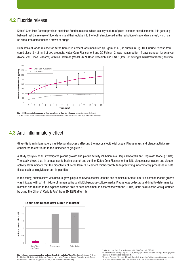### 4.2 Fluoride release

Ketac™ Cem Plus Cement provides sustained fluoride release, which is a key feature of glass-ionomer-based cements. It is generally believed that the release of fluoride ions and their uptake into the tooth structure aid in the reduction of secondary caries<sup>5</sup>, which can be difficult to detect under a crown or bridge.

Cumulative fluoride release for Ketac Cem Plus cement was measured by Ogami et al., as shown in Fig. 10. Fluoride release from cured discs ( $8 \times 2$  mm) of two products, Ketac Cem Plus cement and GC Fujicem 2, was measured for 14 days using an Ion Analyser (Model 290, Orion Research) with Ion Electrode (Model 9609, Orion Research) and TISAB (Total Ion Strength Adjustment Buffer) solution.



Fig. 10: Difference in the amount of fluoride release in fluoride-releasing cements. Source: K. Ogami T. Koike, T. Ueda, and K. Sakurai, Department of Removable Prosthodontics and Gerodontology, Tokyo Dental College.

## 4.3 Anti-inflammatory effect

Gingivitis is an inflammatory multi-factorial process affecting the mucosal epithelial tissue. Plaque mass and plaque activity are considered to contribute to the incidence of gingivitis.<sup>6</sup>

A study by Syrek et al.<sup>7</sup> investigated plaque growth and plaque activity inhibition in a Plaque Glycolysis and Regrowth Model (PGRM). The study shows that, in comparison to bovine enamel and dentine, Ketac Cem Plus cement inhibits plaque accumulation and plaque activity. Both indicate that the bioactivity of Ketac Cem Plus cement might contribute to preventing inflammatory processes of soft tissue such as gingivitis or peri-implantitis.

In this study, human saliva was used to grow plaque on bovine enamel, dentine and samples of Ketac Cem Plus cement. Plaque growth was initiated with a 1:4 mixture of human saliva and MCM-sucrose-culture media. Plaque was collected and dried to determine its biomass and related to the exposed surface area of each specimen. In accordance with the PGRM, lactic acid release was quantified by using the Clinpro™ Cario L-Pop™ from 3M ESPE (Fig. 11).



Lactic acid release after 60min in mM/cm²

Fig. 11: Less plaque accumulation and growth activity on Ketac™ Cem Plus Cement. Source: A. Syrek P.J. Flanigan, M. Hauke, and I. Häberlein. Bioactivity of a Luting-Cement to Support Prevention of Soft-Tis Inflammation. J Dent Res 92 (Spec Iss A): 184, 2013. (www.dentalresearch.org).

Hicks, M.J., and Flaitz, C.M., Quintessence Int. 2000 Sep: 31(8): 570-578 <sup>6</sup> FDA Guidance for Industry: Gingivitis (2005), monograph (21 CFR Part 356) Testing of the antigingivitis/ antiplaque effectiveness of drug products.

7 Syrek, A., Flanigan, P.J., Hauke, M., and Häberlein, I. Bioactivity of a luting-cement to support prevention of soft-tissue inflammation. J Dent Res 92 (Spec Iss A): 184, 2013. (www.dentalresearch.org).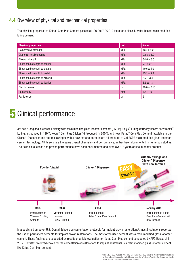## 4.4 Overview of physical and mechanical properties

The physical properties of Ketac™ Cem Plus Cement passed all ISO 9917-2:2010 tests for a class 1, water-based, resin modified luting cement.

| <b>Physical properties</b>      | <b>Unit</b> | <b>Value</b>    |
|---------------------------------|-------------|-----------------|
| Compressive strength            | <b>MPa</b>  | $135 \pm 5.2$   |
| Diametral tensile strength      | <b>MPa</b>  | $22.3 \pm 1.2$  |
| <b>Flexural strength</b>        | <b>MPa</b>  | $34.0 \pm 3.0$  |
| Shear bond strength to dentine  | <b>MPa</b>  | $7.6 \pm 2.1$   |
| Shear bond strength to enamel   | <b>MPa</b>  | $10.6 \pm 1.0$  |
| Shear bond strength to metal    | <b>MPa</b>  | $15.1 \pm 3.9$  |
| Shear bond strength to zirconia | MPa         | $5.7 \pm 3.4$   |
| Shear bond strength to titanium | <b>MPa</b>  | $8.5 \pm 1.8$   |
| Film thickness                  | μm          | $19.0 \pm 3.16$ |
| Radiopacity                     | mm          | $1.41 \pm 0.1$  |
| Particle size                   | μm          | 3               |

# 5 Clinical performance

3M has a long and successful history with resin modified glass ionomer cements (RMGIs). RelyX™ Luting (formerly known as Vitremer™ Luting, introduced in 1994), Ketac™ Cem Plus Clicker™ (introduced in 2004), and now, Ketac™ Cem Plus Cement (available in the Clicker™ Dispenser and automix syringe) with a new material formula are all products of 3M ESPE resin modified glass ionomer cement technology. All three share the same overall chemistry and performance, as has been documented in numerous studies. Their clinical success and proven performance have been documented and cited over 18 years of use in dental practice.



In a published survey of U.S. Dental Schools on cementation protocols for implant crown restorations<sup>8</sup>, most institutions reported the use of permanent cements for implant crown restorations. The most often used cement was a resin modified glass ionomer cement. These findings are supported by results of a field evaluation for Ketac Cem Plus cement conducted by AFG Research in 2012. Dentists' preferred choice for the cementation of restorations to implant abutments is a resin modified glass ionomer cement like Ketac Cem Plus cement.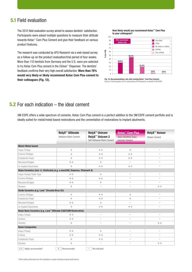### 5.1 Field evaluation

The 2012 field evaluation survey aimed to assess dentists' satisfaction. Participants were asked multiple questions to measure their attitude towards Ketac™ Cem Plus Cement and give their feedback on various product features.

The research was conducted by AFG Research via a web-based survey as a follow-up on the product evaluation/trial period of four weeks. More than 110 dentists from Germany and the U.S. were pre-selected to try Ketac Cem Plus cement in the Clicker™ Dispenser. The dentists' feedback confirms their very high overall satisfaction: More than 76% would very likely or likely recommend Ketac Cem Plus cement to their colleagues (Fig. 12).

**How likely would you recommend Ketac™ Cem Plus to your colleagues?**



Fig. 12: Recommendation rate after testing Ketac™ Cem Plus Cement. Source: Field Evaluation 2012 conducted by AFG Research on behalf of 3M ESPE.

## 5.2 For each indication – the ideal cement

3M ESPE offers a wide spectrum of cements. Ketac Cem Plus cement is a perfect addition to the 3M ESPE cement portfolio and is ideally suited for metal/metal based restorations and the cementation of restorations to implant abutments.

|                                                                             | <b>RelyX<sup>™</sup> Ultimate</b><br>Adhesive Resin Cement | <b>RelyX<sup>™</sup> Unicem</b><br><b>RelyX<sup>™</sup> Unicem 2</b><br>Self-Adhesive Resin Cement | <b>Ketac<sup>™</sup> Cem Plus</b><br><b>Resin Modified Glass</b><br><b>Ionomer Cement</b> | <b>RelyX<sup>™</sup> Veneer</b><br>Veneer Cement |  |
|-----------------------------------------------------------------------------|------------------------------------------------------------|----------------------------------------------------------------------------------------------------|-------------------------------------------------------------------------------------------|--------------------------------------------------|--|
| <b>Metal/Metal based</b>                                                    |                                                            |                                                                                                    |                                                                                           |                                                  |  |
| Inlays/Onlays                                                               | ÷                                                          | $++$                                                                                               | ÷                                                                                         |                                                  |  |
| Crowns/Bridges                                                              | ÷                                                          | $++$                                                                                               | $\pm$ $\pm$                                                                               | $\sim$                                           |  |
| <b>Endodontic Posts</b>                                                     | ÷                                                          | $++$                                                                                               | $++$                                                                                      | $\sim$                                           |  |
| Maryland Bridges                                                            | $++$                                                       | ÷                                                                                                  | $\sim$                                                                                    | $\sim$                                           |  |
| on Implant Abutments                                                        | ÷                                                          | $\pm$ $\pm$                                                                                        | $\pm$ $\pm$                                                                               | $\sim$                                           |  |
| Glass Ceramics (incl. Li. Disilicate) (e.g. e.maxCAD, Empress, Vitamark II) |                                                            |                                                                                                    |                                                                                           |                                                  |  |
| Inlays/Onlays/Table Tops                                                    | $++$                                                       | ÷                                                                                                  | $\equiv$                                                                                  | $\overline{a}$                                   |  |
| Crowns/Bridges                                                              | $\pm$ $\pm$                                                | $++$                                                                                               | $\sim$                                                                                    | $\sim$                                           |  |
| Maryland Bridges                                                            | $++$                                                       | ÷                                                                                                  | $\sim$                                                                                    |                                                  |  |
| Veneers                                                                     | ÷                                                          | $\overline{a}$                                                                                     | $\equiv$                                                                                  | 十十                                               |  |
| Oxide Ceramics (e.g. Lava <sup>™</sup> Zirconia Brux Zir)                   |                                                            |                                                                                                    |                                                                                           |                                                  |  |
| Crowns/Bridges                                                              | ÷                                                          | 十十                                                                                                 | ÷                                                                                         | $\sim$                                           |  |
| <b>Endodontic Posts</b>                                                     | ÷                                                          | $++$                                                                                               | ÷                                                                                         | $\bar{a}$                                        |  |
| Maryland Bridges                                                            | $++$                                                       | ÷                                                                                                  | $\sim$                                                                                    | $\equiv$                                         |  |
| on Implant Abutments                                                        | ÷                                                          | $++$                                                                                               | 十十                                                                                        | $\equiv$                                         |  |
| Resin Nano Ceramics (e.g. Lava <sup>"</sup> Ultimate CAD/CAM Restorative)   |                                                            |                                                                                                    |                                                                                           |                                                  |  |
| Inlays/Onlays                                                               | ++                                                         | $\equiv$                                                                                           | $\sim$                                                                                    | $\sim$                                           |  |
| Crowns                                                                      | $++$                                                       | $\equiv$                                                                                           | $\sim$                                                                                    | $\sim$                                           |  |
| Veneers                                                                     | ÷                                                          | $\overline{a}$                                                                                     | $\equiv$                                                                                  | 十十                                               |  |
| <b>Resin Composites</b>                                                     |                                                            |                                                                                                    |                                                                                           |                                                  |  |
| Inlays/Onlays                                                               | $++$                                                       | ÷                                                                                                  | $\equiv$                                                                                  | $\sim$                                           |  |
| Crowns                                                                      | $++$                                                       | 十十                                                                                                 | $\sim$                                                                                    | $\sim$                                           |  |
| <b>Endodontic Posts</b>                                                     | ÷                                                          | $++$                                                                                               | $\equiv$                                                                                  | $\sim$                                           |  |
| Veneers                                                                     | ÷                                                          | $\overline{a}$                                                                                     | $\sim$                                                                                    | 十十                                               |  |
| $++$ Highly recommended*                                                    | ÷<br>Recommended                                           | Not indicated<br>$\sim$                                                                            |                                                                                           |                                                  |  |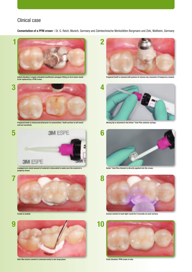## Clinical case

Cementation of a PFM crown | Dr. G. Reich, Munich, Germany and Zahntechnische Werkstätten Borgmann und Zink, Weilheim, Germany



Initial situation: Largely extended insufficient amalgam filling on first molar needs to be replaced by a PFM crown.



Prepared tooth is rinsed and dried prior to cementation. Tooth surface is left moist and not overdried.



A peppercorn-sized amount of material is discarded to make sure the material is properly mixed.



Crown is seated.



Wax-like excess cement is removed easily in one large piece.



Prepared tooth is cleaned with pumice to remove any remnants of temporary cement.



Mixing tip is attached to the Ketac™ Cem Plus automix syringe.



Ketac™ Cem Plus Cement is directly applied into the crown.



Excess cement is tack light-cured for 5 seconds on each surface.



Final situation: PFM crown in situ.